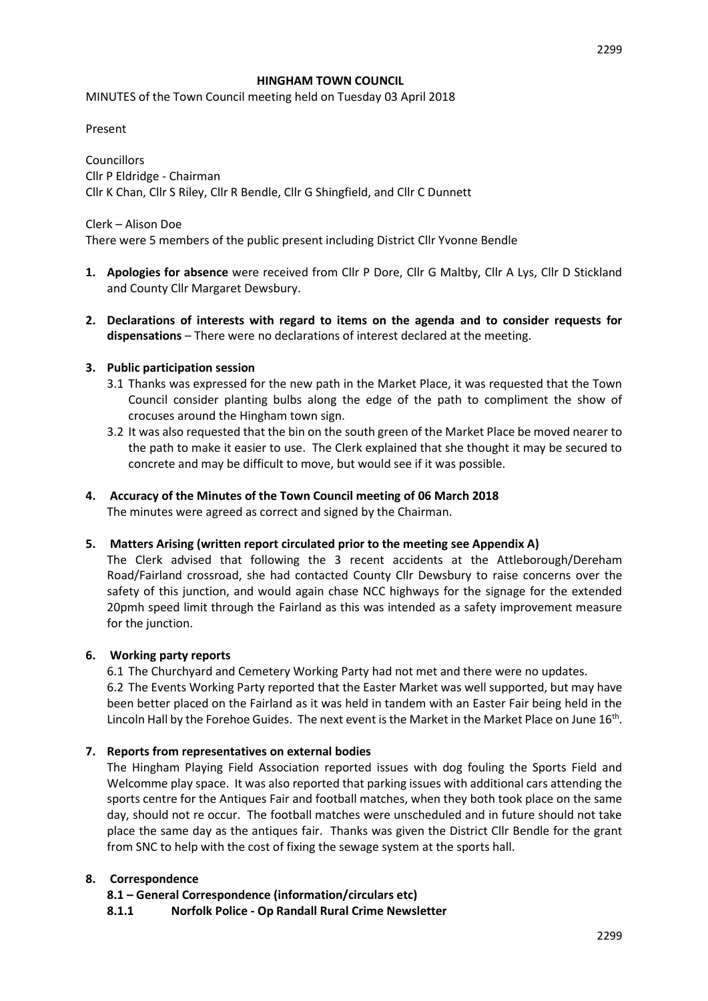#### **HINGHAM TOWN COUNCIL**

MINUTES of the Town Council meeting held on Tuesday 03 April 2018

Present

**Councillors** Cllr P Eldridge - Chairman Cllr K Chan, Cllr S Riley, Cllr R Bendle, Cllr G Shingfield, and Cllr C Dunnett

Clerk – Alison Doe There were 5 members of the public present including District Cllr Yvonne Bendle

- **1. Apologies for absence** were received from Cllr P Dore, Cllr G Maltby, Cllr A Lys, Cllr D Stickland and County Cllr Margaret Dewsbury.
- **2. Declarations of interests with regard to items on the agenda and to consider requests for dispensations** – There were no declarations of interest declared at the meeting.

#### **3. Public participation session**

- 3.1 Thanks was expressed for the new path in the Market Place, it was requested that the Town Council consider planting bulbs along the edge of the path to compliment the show of crocuses around the Hingham town sign.
- 3.2 It was also requested that the bin on the south green of the Market Place be moved nearer to the path to make it easier to use. The Clerk explained that she thought it may be secured to concrete and may be difficult to move, but would see if it was possible.

# **4. Accuracy of the Minutes of the Town Council meeting of 06 March 2018**

The minutes were agreed as correct and signed by the Chairman.

# **5. Matters Arising (written report circulated prior to the meeting see Appendix A)**

The Clerk advised that following the 3 recent accidents at the Attleborough/Dereham Road/Fairland crossroad, she had contacted County Cllr Dewsbury to raise concerns over the safety of this junction, and would again chase NCC highways for the signage for the extended 20pmh speed limit through the Fairland as this was intended as a safety improvement measure for the junction.

# **6. Working party reports**

6.1 The Churchyard and Cemetery Working Party had not met and there were no updates. 6.2 The Events Working Party reported that the Easter Market was well supported, but may have been better placed on the Fairland as it was held in tandem with an Easter Fair being held in the Lincoln Hall by the Forehoe Guides. The next event is the Market in the Market Place on June  $16<sup>th</sup>$ .

# **7. Reports from representatives on external bodies**

The Hingham Playing Field Association reported issues with dog fouling the Sports Field and Welcomme play space. It was also reported that parking issues with additional cars attending the sports centre for the Antiques Fair and football matches, when they both took place on the same day, should not re occur. The football matches were unscheduled and in future should not take place the same day as the antiques fair. Thanks was given the District Cllr Bendle for the grant from SNC to help with the cost of fixing the sewage system at the sports hall.

# **8. Correspondence**

**8.1 – General Correspondence (information/circulars etc)**

**8.1.1 Norfolk Police - Op Randall Rural Crime Newsletter**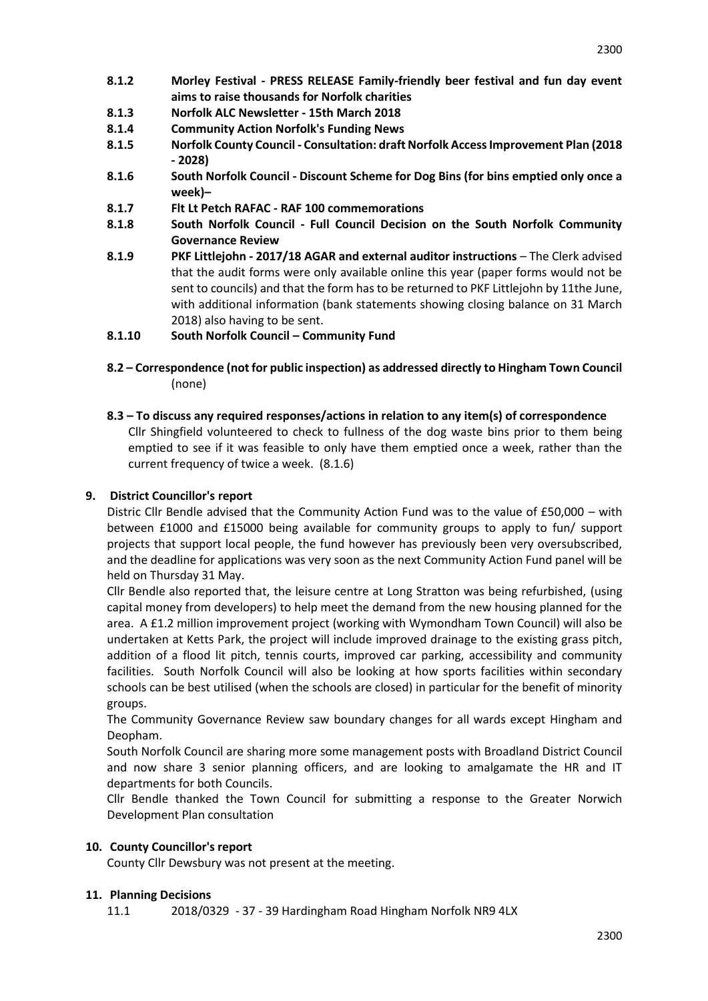- **8.1.2 Morley Festival - PRESS RELEASE Family-friendly beer festival and fun day event aims to raise thousands for Norfolk charities**
- **8.1.3 Norfolk ALC Newsletter - 15th March 2018**
- **8.1.4 Community Action Norfolk's Funding News**
- **8.1.5 Norfolk County Council - Consultation: draft Norfolk Access Improvement Plan (2018 - 2028)**
- **8.1.6 South Norfolk Council - Discount Scheme for Dog Bins (for bins emptied only once a week)–**
- **8.1.7 Flt Lt Petch RAFAC - RAF 100 commemorations**
- **8.1.8 South Norfolk Council - Full Council Decision on the South Norfolk Community Governance Review**
- **8.1.9 PKF Littlejohn - 2017/18 AGAR and external auditor instructions** The Clerk advised that the audit forms were only available online this year (paper forms would not be sent to councils) and that the form has to be returned to PKF Littlejohn by 11the June, with additional information (bank statements showing closing balance on 31 March 2018) also having to be sent.
- **8.1.10 South Norfolk Council – Community Fund**
- **8.2 – Correspondence (not for public inspection) as addressed directly to Hingham Town Council** (none)
- **8.3 – To discuss any required responses/actions in relation to any item(s) of correspondence** Cllr Shingfield volunteered to check to fullness of the dog waste bins prior to them being emptied to see if it was feasible to only have them emptied once a week, rather than the current frequency of twice a week. (8.1.6)

# **9. District Councillor's report**

Distric Cllr Bendle advised that the Community Action Fund was to the value of £50,000 – with between £1000 and £15000 being available for community groups to apply to fun/ support projects that support local people, the fund however has previously been very oversubscribed, and the deadline for applications was very soon as the next Community Action Fund panel will be held on Thursday 31 May.

Cllr Bendle also reported that, the leisure centre at Long Stratton was being refurbished, (using capital money from developers) to help meet the demand from the new housing planned for the area. A £1.2 million improvement project (working with Wymondham Town Council) will also be undertaken at Ketts Park, the project will include improved drainage to the existing grass pitch, addition of a flood lit pitch, tennis courts, improved car parking, accessibility and community facilities. South Norfolk Council will also be looking at how sports facilities within secondary schools can be best utilised (when the schools are closed) in particular for the benefit of minority groups.

The Community Governance Review saw boundary changes for all wards except Hingham and Deopham.

South Norfolk Council are sharing more some management posts with Broadland District Council and now share 3 senior planning officers, and are looking to amalgamate the HR and IT departments for both Councils.

Cllr Bendle thanked the Town Council for submitting a response to the Greater Norwich Development Plan consultation

# **10. County Councillor's report**

County Cllr Dewsbury was not present at the meeting.

# **11. Planning Decisions**

11.1 2018/0329 - 37 - 39 Hardingham Road Hingham Norfolk NR9 4LX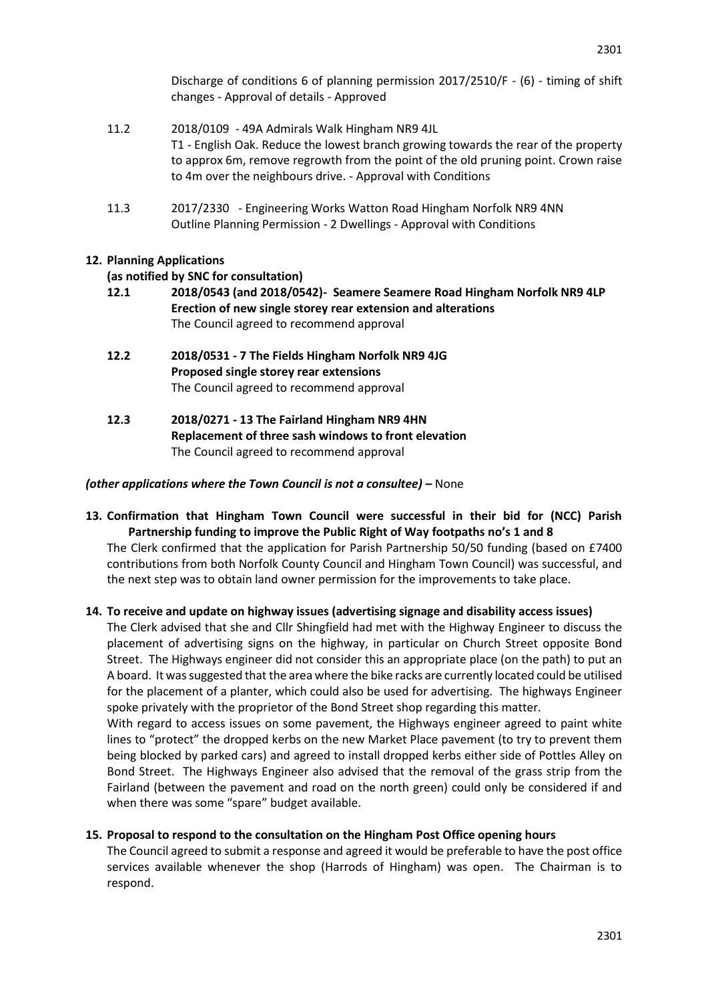Discharge of conditions 6 of planning permission 2017/2510/F - (6) - timing of shift changes - Approval of details - Approved

- 11.2 2018/0109 49A Admirals Walk Hingham NR9 4JL T1 - English Oak. Reduce the lowest branch growing towards the rear of the property to approx 6m, remove regrowth from the point of the old pruning point. Crown raise to 4m over the neighbours drive. - Approval with Conditions
- 11.3 2017/2330 Engineering Works Watton Road Hingham Norfolk NR9 4NN Outline Planning Permission - 2 Dwellings - Approval with Conditions

# **12. Planning Applications**

#### **(as notified by SNC for consultation)**

- **12.1 2018/0543 (and 2018/0542)- Seamere Seamere Road Hingham Norfolk NR9 4LP Erection of new single storey rear extension and alterations**  The Council agreed to recommend approval
- **12.2 2018/0531 - 7 The Fields Hingham Norfolk NR9 4JG Proposed single storey rear extensions**  The Council agreed to recommend approval
- **12.3 2018/0271 - 13 The Fairland Hingham NR9 4HN Replacement of three sash windows to front elevation** The Council agreed to recommend approval

#### *(other applications where the Town Council is not a consultee) –* None

**13. Confirmation that Hingham Town Council were successful in their bid for (NCC) Parish Partnership funding to improve the Public Right of Way footpaths no's 1 and 8**

The Clerk confirmed that the application for Parish Partnership 50/50 funding (based on £7400 contributions from both Norfolk County Council and Hingham Town Council) was successful, and the next step was to obtain land owner permission for the improvements to take place.

**14. To receive and update on highway issues (advertising signage and disability access issues)**

The Clerk advised that she and Cllr Shingfield had met with the Highway Engineer to discuss the placement of advertising signs on the highway, in particular on Church Street opposite Bond Street. The Highways engineer did not consider this an appropriate place (on the path) to put an A board. It was suggested that the area where the bike racks are currently located could be utilised for the placement of a planter, which could also be used for advertising. The highways Engineer spoke privately with the proprietor of the Bond Street shop regarding this matter.

With regard to access issues on some pavement, the Highways engineer agreed to paint white lines to "protect" the dropped kerbs on the new Market Place pavement (to try to prevent them being blocked by parked cars) and agreed to install dropped kerbs either side of Pottles Alley on Bond Street. The Highways Engineer also advised that the removal of the grass strip from the Fairland (between the pavement and road on the north green) could only be considered if and when there was some "spare" budget available.

#### **15. Proposal to respond to the consultation on the Hingham Post Office opening hours**

The Council agreed to submit a response and agreed it would be preferable to have the post office services available whenever the shop (Harrods of Hingham) was open. The Chairman is to respond.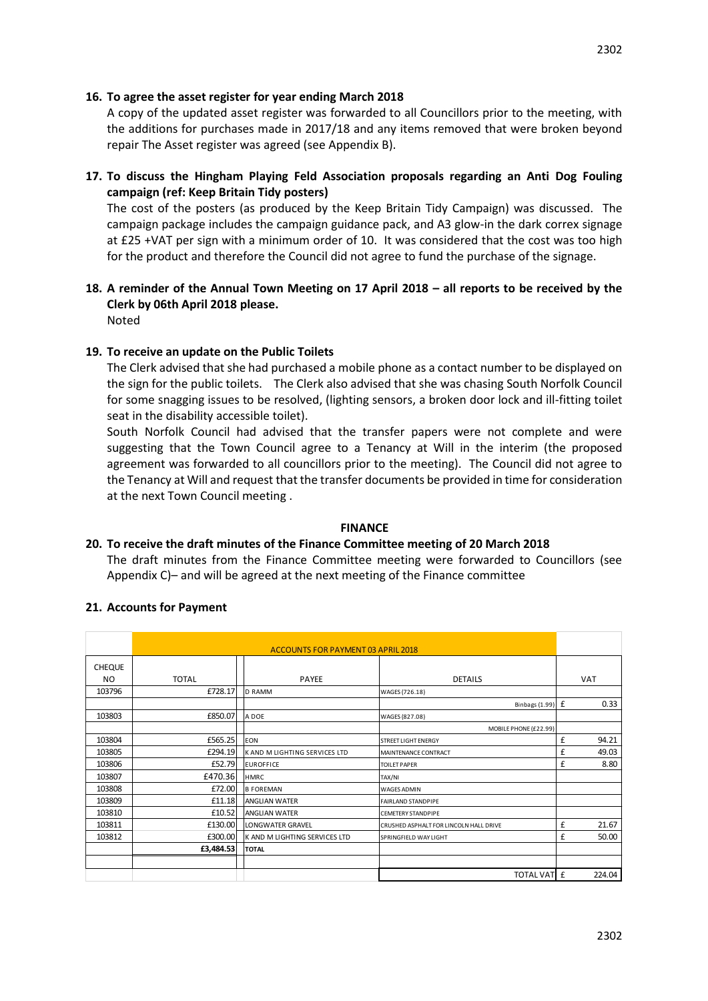# **16. To agree the asset register for year ending March 2018**

A copy of the updated asset register was forwarded to all Councillors prior to the meeting, with the additions for purchases made in 2017/18 and any items removed that were broken beyond repair The Asset register was agreed (see Appendix B).

**17. To discuss the Hingham Playing Feld Association proposals regarding an Anti Dog Fouling campaign (ref: Keep Britain Tidy posters)**

The cost of the posters (as produced by the Keep Britain Tidy Campaign) was discussed. The campaign package includes the campaign guidance pack, and A3 glow-in the dark correx signage at £25 +VAT per sign with a minimum order of 10. It was considered that the cost was too high for the product and therefore the Council did not agree to fund the purchase of the signage.

# **18. A reminder of the Annual Town Meeting on 17 April 2018 – all reports to be received by the Clerk by 06th April 2018 please.**

Noted

# **19. To receive an update on the Public Toilets**

The Clerk advised that she had purchased a mobile phone as a contact number to be displayed on the sign for the public toilets. The Clerk also advised that she was chasing South Norfolk Council for some snagging issues to be resolved, (lighting sensors, a broken door lock and ill-fitting toilet seat in the disability accessible toilet).

South Norfolk Council had advised that the transfer papers were not complete and were suggesting that the Town Council agree to a Tenancy at Will in the interim (the proposed agreement was forwarded to all councillors prior to the meeting). The Council did not agree to the Tenancy at Will and request that the transfer documents be provided in time for consideration at the next Town Council meeting .

# **FINANCE**

# **20. To receive the draft minutes of the Finance Committee meeting of 20 March 2018**

The draft minutes from the Finance Committee meeting were forwarded to Councillors (see Appendix C)– and will be agreed at the next meeting of the Finance committee

# **21. Accounts for Payment**

|               |              | <b>ACCOUNTS FOR PAYMENT 03 APRIL 2018</b> |                                        |   |            |  |  |  |
|---------------|--------------|-------------------------------------------|----------------------------------------|---|------------|--|--|--|
| <b>CHEQUE</b> |              |                                           |                                        |   |            |  |  |  |
| NO.           | <b>TOTAL</b> | <b>PAYEE</b>                              | <b>DETAILS</b>                         |   | <b>VAT</b> |  |  |  |
| 103796        | £728.17      | <b>D RAMM</b>                             | WAGES (726.18)                         |   |            |  |  |  |
|               |              |                                           | Binbags (1.99) £                       |   | 0.33       |  |  |  |
| 103803        | £850.07      | A DOE                                     | WAGES (827.08)                         |   |            |  |  |  |
|               |              |                                           | MOBILE PHONE (£22.99)                  |   |            |  |  |  |
| 103804        | £565.25      | EON                                       | <b>STREET LIGHT ENERGY</b>             | £ | 94.21      |  |  |  |
| 103805        | £294.19      | K AND M LIGHTING SERVICES LTD             | MAINTENANCE CONTRACT                   | £ | 49.03      |  |  |  |
| 103806        | £52.79       | <b>EUROFFICE</b>                          | <b>TOILET PAPER</b>                    | £ | 8.80       |  |  |  |
| 103807        | £470.36      | <b>HMRC</b>                               | TAX/NI                                 |   |            |  |  |  |
| 103808        | £72.00       | <b>B FOREMAN</b>                          | <b>WAGES ADMIN</b>                     |   |            |  |  |  |
| 103809        | £11.18       | <b>ANGLIAN WATER</b>                      | <b>FAIRLAND STANDPIPF</b>              |   |            |  |  |  |
| 103810        | £10.52       | <b>ANGLIAN WATER</b>                      | <b>CEMETERY STANDPIPE</b>              |   |            |  |  |  |
| 103811        | £130.00      | LONGWATER GRAVEL                          | CRUSHED ASPHALT FOR LINCOLN HALL DRIVE | £ | 21.67      |  |  |  |
| 103812        | £300.00      | <b>K AND M LIGHTING SERVICES LTD</b>      | SPRINGFIELD WAY LIGHT                  | £ | 50.00      |  |  |  |
|               | £3,484.53    | <b>TOTAL</b>                              |                                        |   |            |  |  |  |
|               |              |                                           |                                        |   |            |  |  |  |
|               |              |                                           | TOTAL VAT £                            |   | 224.04     |  |  |  |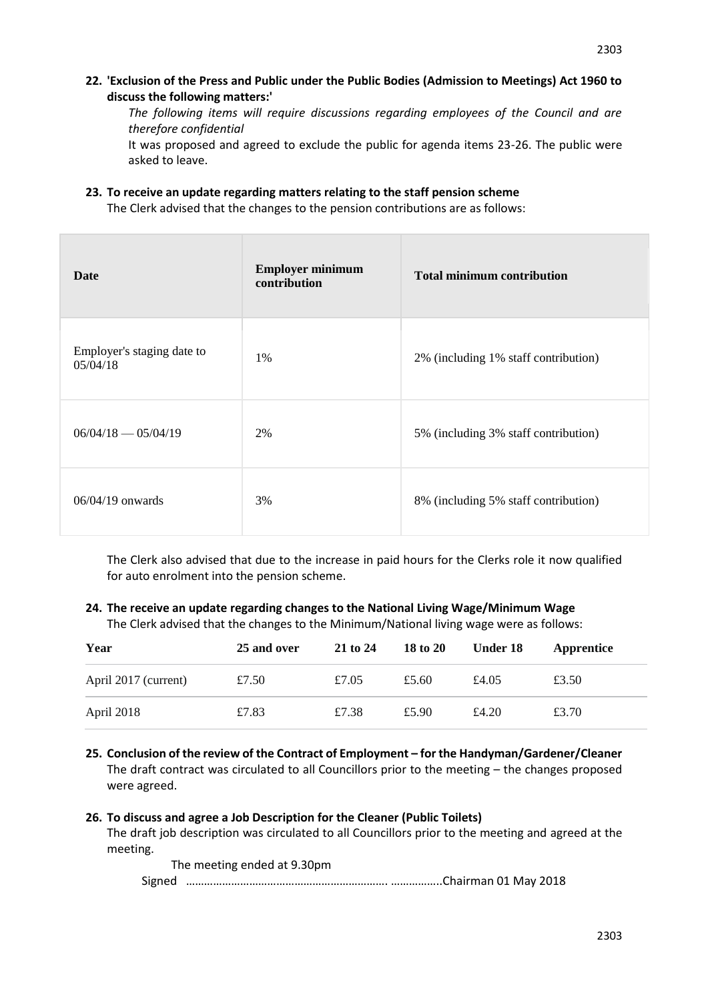**22. 'Exclusion of the Press and Public under the Public Bodies (Admission to Meetings) Act 1960 to discuss the following matters:'** 

*The following items will require discussions regarding employees of the Council and are therefore confidential*

It was proposed and agreed to exclude the public for agenda items 23-26. The public were asked to leave.

**23. To receive an update regarding matters relating to the staff pension scheme**

The Clerk advised that the changes to the pension contributions are as follows:

| Date                                   | <b>Employer minimum</b><br>contribution | <b>Total minimum contribution</b>    |
|----------------------------------------|-----------------------------------------|--------------------------------------|
| Employer's staging date to<br>05/04/18 | 1%                                      | 2% (including 1% staff contribution) |
| $06/04/18 - 05/04/19$                  | 2%                                      | 5% (including 3% staff contribution) |
| $06/04/19$ onwards                     | 3%                                      | 8% (including 5% staff contribution) |

The Clerk also advised that due to the increase in paid hours for the Clerks role it now qualified for auto enrolment into the pension scheme.

# **24. The receive an update regarding changes to the National Living Wage/Minimum Wage**

The Clerk advised that the changes to the Minimum/National living wage were as follows:

| Year                 | 25 and over | 21 to 24 | 18 to 20 | Under 18 | Apprentice |
|----------------------|-------------|----------|----------|----------|------------|
| April 2017 (current) | £7.50       | £7.05    | £5.60    | £4.05    | £3.50      |
| April 2018           | £7.83       | £7.38    | £5.90    | £4.20    | £3.70      |

**25. Conclusion of the review of the Contract of Employment – for the Handyman/Gardener/Cleaner** The draft contract was circulated to all Councillors prior to the meeting – the changes proposed were agreed.

# **26. To discuss and agree a Job Description for the Cleaner (Public Toilets)**

The draft job description was circulated to all Councillors prior to the meeting and agreed at the meeting.

The meeting ended at 9.30pm Signed …………………………………………………………. ……………..Chairman 01 May 2018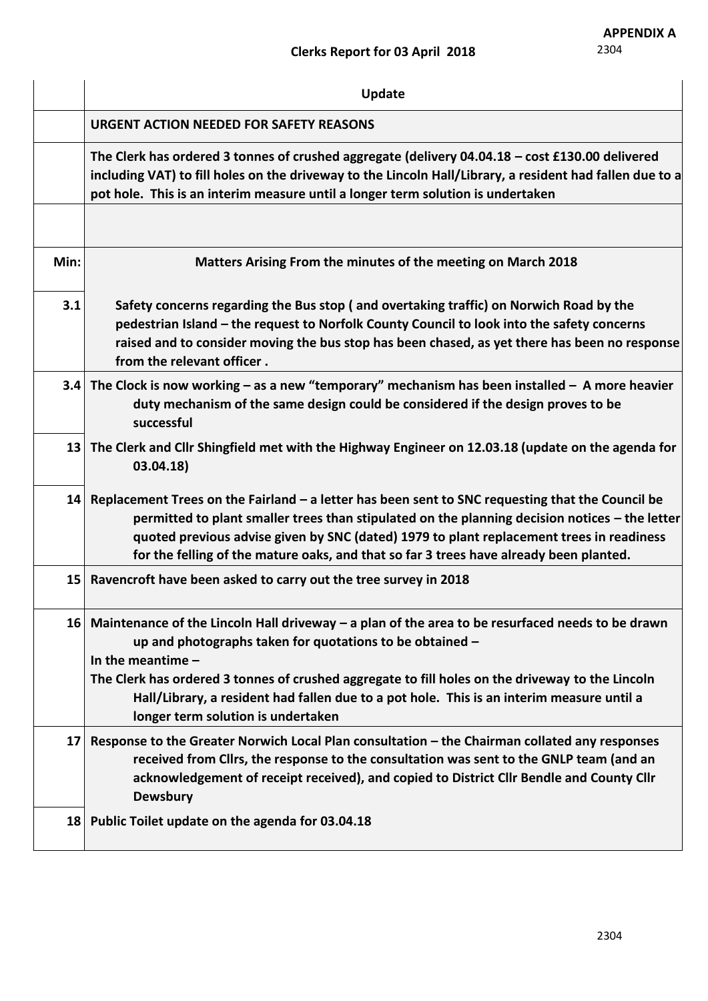|                 | Update                                                                                                                                                                                                                                                                                                                                                                                    |
|-----------------|-------------------------------------------------------------------------------------------------------------------------------------------------------------------------------------------------------------------------------------------------------------------------------------------------------------------------------------------------------------------------------------------|
|                 | <b>URGENT ACTION NEEDED FOR SAFETY REASONS</b>                                                                                                                                                                                                                                                                                                                                            |
|                 | The Clerk has ordered 3 tonnes of crushed aggregate (delivery 04.04.18 - cost £130.00 delivered<br>including VAT) to fill holes on the driveway to the Lincoln Hall/Library, a resident had fallen due to a<br>pot hole. This is an interim measure until a longer term solution is undertaken                                                                                            |
|                 |                                                                                                                                                                                                                                                                                                                                                                                           |
| Min:            | Matters Arising From the minutes of the meeting on March 2018                                                                                                                                                                                                                                                                                                                             |
| 3.1             | Safety concerns regarding the Bus stop (and overtaking traffic) on Norwich Road by the<br>pedestrian Island – the request to Norfolk County Council to look into the safety concerns<br>raised and to consider moving the bus stop has been chased, as yet there has been no response<br>from the relevant officer.                                                                       |
|                 | 3.4 The Clock is now working – as a new "temporary" mechanism has been installed – A more heavier<br>duty mechanism of the same design could be considered if the design proves to be<br>successful                                                                                                                                                                                       |
| 13              | The Clerk and Cllr Shingfield met with the Highway Engineer on 12.03.18 (update on the agenda for<br>03.04.18)                                                                                                                                                                                                                                                                            |
| 14              | Replacement Trees on the Fairland – a letter has been sent to SNC requesting that the Council be<br>permitted to plant smaller trees than stipulated on the planning decision notices – the letter<br>quoted previous advise given by SNC (dated) 1979 to plant replacement trees in readiness<br>for the felling of the mature oaks, and that so far 3 trees have already been planted.  |
|                 | 15 Ravencroft have been asked to carry out the tree survey in 2018                                                                                                                                                                                                                                                                                                                        |
|                 | 16 Maintenance of the Lincoln Hall driveway $-$ a plan of the area to be resurfaced needs to be drawn<br>up and photographs taken for quotations to be obtained -<br>In the meantime $-$<br>The Clerk has ordered 3 tonnes of crushed aggregate to fill holes on the driveway to the Lincoln<br>Hall/Library, a resident had fallen due to a pot hole. This is an interim measure until a |
|                 | longer term solution is undertaken                                                                                                                                                                                                                                                                                                                                                        |
| 17 <sup>1</sup> | Response to the Greater Norwich Local Plan consultation - the Chairman collated any responses<br>received from Cllrs, the response to the consultation was sent to the GNLP team (and an<br>acknowledgement of receipt received), and copied to District Cllr Bendle and County Cllr<br><b>Dewsbury</b>                                                                                   |
|                 | 18 Public Toilet update on the agenda for 03.04.18                                                                                                                                                                                                                                                                                                                                        |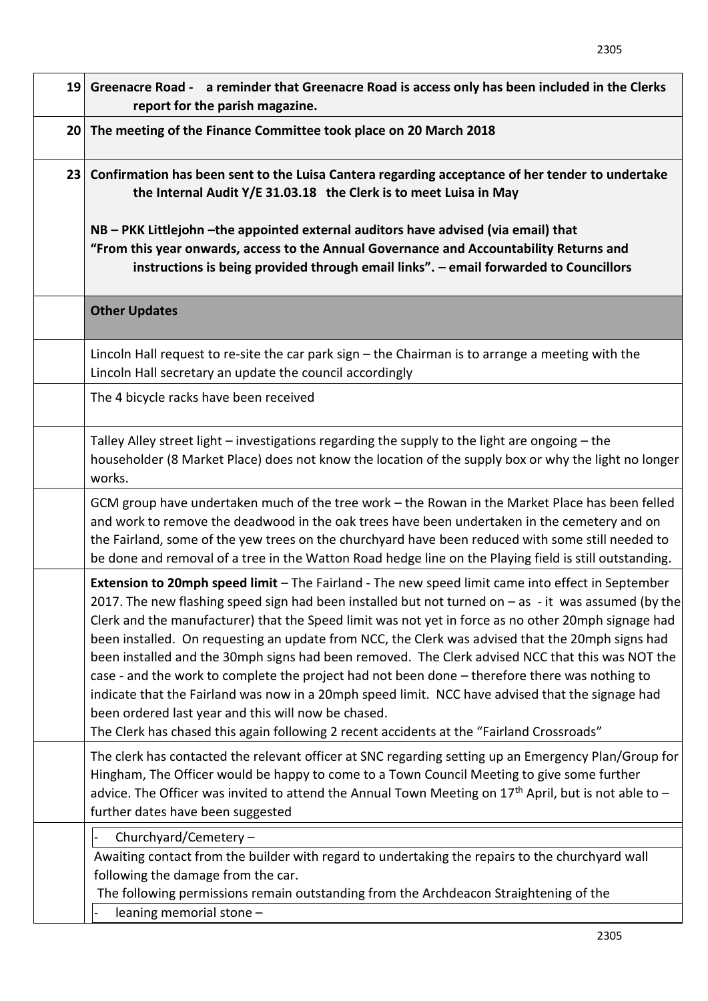| 19 Greenacre Road - a reminder that Greenacre Road is access only has been included in the Clerks<br>report for the parish magazine.                                                                                                                                                                                                                                                                                                                                                                                                                                                                                                                                                                                                                                                                                                                                                   |  |  |  |  |  |  |  |  |
|----------------------------------------------------------------------------------------------------------------------------------------------------------------------------------------------------------------------------------------------------------------------------------------------------------------------------------------------------------------------------------------------------------------------------------------------------------------------------------------------------------------------------------------------------------------------------------------------------------------------------------------------------------------------------------------------------------------------------------------------------------------------------------------------------------------------------------------------------------------------------------------|--|--|--|--|--|--|--|--|
| 20 The meeting of the Finance Committee took place on 20 March 2018                                                                                                                                                                                                                                                                                                                                                                                                                                                                                                                                                                                                                                                                                                                                                                                                                    |  |  |  |  |  |  |  |  |
| 23 Confirmation has been sent to the Luisa Cantera regarding acceptance of her tender to undertake<br>the Internal Audit Y/E 31.03.18 the Clerk is to meet Luisa in May<br>NB - PKK Littlejohn -the appointed external auditors have advised (via email) that<br>"From this year onwards, access to the Annual Governance and Accountability Returns and<br>instructions is being provided through email links". - email forwarded to Councillors                                                                                                                                                                                                                                                                                                                                                                                                                                      |  |  |  |  |  |  |  |  |
| <b>Other Updates</b>                                                                                                                                                                                                                                                                                                                                                                                                                                                                                                                                                                                                                                                                                                                                                                                                                                                                   |  |  |  |  |  |  |  |  |
| Lincoln Hall request to re-site the car park sign - the Chairman is to arrange a meeting with the<br>Lincoln Hall secretary an update the council accordingly                                                                                                                                                                                                                                                                                                                                                                                                                                                                                                                                                                                                                                                                                                                          |  |  |  |  |  |  |  |  |
| The 4 bicycle racks have been received                                                                                                                                                                                                                                                                                                                                                                                                                                                                                                                                                                                                                                                                                                                                                                                                                                                 |  |  |  |  |  |  |  |  |
| Talley Alley street light $-$ investigations regarding the supply to the light are ongoing $-$ the<br>householder (8 Market Place) does not know the location of the supply box or why the light no longer<br>works.                                                                                                                                                                                                                                                                                                                                                                                                                                                                                                                                                                                                                                                                   |  |  |  |  |  |  |  |  |
| GCM group have undertaken much of the tree work - the Rowan in the Market Place has been felled<br>and work to remove the deadwood in the oak trees have been undertaken in the cemetery and on<br>the Fairland, some of the yew trees on the churchyard have been reduced with some still needed to<br>be done and removal of a tree in the Watton Road hedge line on the Playing field is still outstanding.                                                                                                                                                                                                                                                                                                                                                                                                                                                                         |  |  |  |  |  |  |  |  |
| Extension to 20mph speed limit - The Fairland - The new speed limit came into effect in September<br>2017. The new flashing speed sign had been installed but not turned on $-$ as $-$ it was assumed (by the<br>Clerk and the manufacturer) that the Speed limit was not yet in force as no other 20mph signage had<br>been installed. On requesting an update from NCC, the Clerk was advised that the 20mph signs had<br>been installed and the 30mph signs had been removed. The Clerk advised NCC that this was NOT the<br>case - and the work to complete the project had not been done - therefore there was nothing to<br>indicate that the Fairland was now in a 20mph speed limit. NCC have advised that the signage had<br>been ordered last year and this will now be chased.<br>The Clerk has chased this again following 2 recent accidents at the "Fairland Crossroads" |  |  |  |  |  |  |  |  |
| The clerk has contacted the relevant officer at SNC regarding setting up an Emergency Plan/Group for<br>Hingham, The Officer would be happy to come to a Town Council Meeting to give some further<br>advice. The Officer was invited to attend the Annual Town Meeting on $17th$ April, but is not able to -<br>further dates have been suggested                                                                                                                                                                                                                                                                                                                                                                                                                                                                                                                                     |  |  |  |  |  |  |  |  |
| Churchyard/Cemetery -<br>Awaiting contact from the builder with regard to undertaking the repairs to the churchyard wall<br>following the damage from the car.<br>The following permissions remain outstanding from the Archdeacon Straightening of the<br>leaning memorial stone -                                                                                                                                                                                                                                                                                                                                                                                                                                                                                                                                                                                                    |  |  |  |  |  |  |  |  |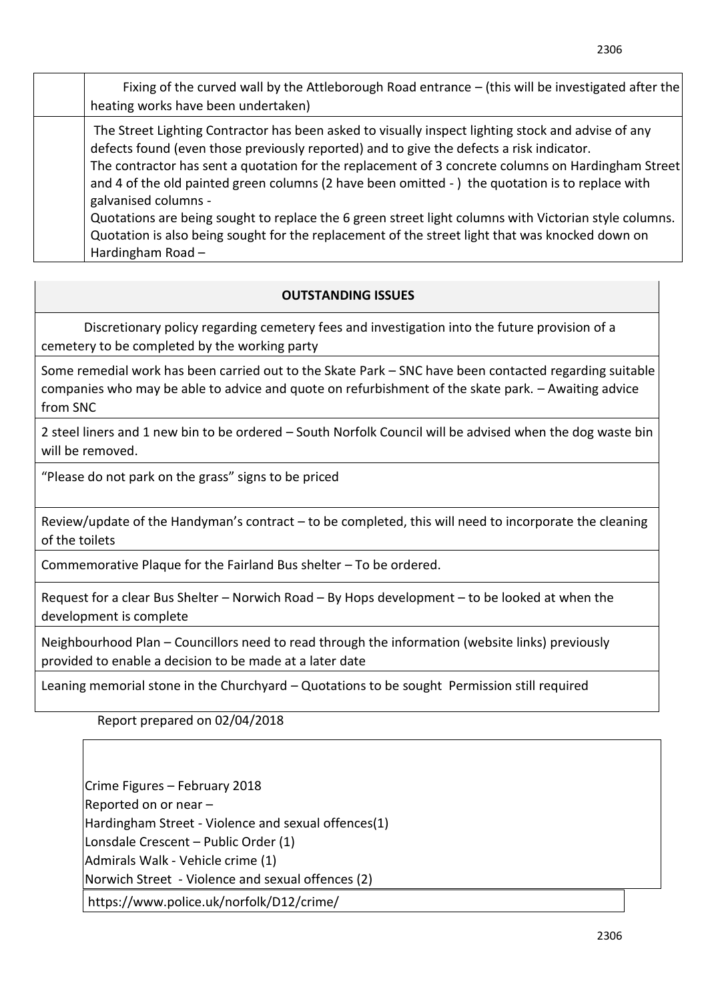| Fixing of the curved wall by the Attleborough Road entrance $-$ (this will be investigated after the<br>heating works have been undertaken)                                                                                                                                                                                                                                                                                                                                                                                                                                                                                                                     |
|-----------------------------------------------------------------------------------------------------------------------------------------------------------------------------------------------------------------------------------------------------------------------------------------------------------------------------------------------------------------------------------------------------------------------------------------------------------------------------------------------------------------------------------------------------------------------------------------------------------------------------------------------------------------|
| The Street Lighting Contractor has been asked to visually inspect lighting stock and advise of any<br>defects found (even those previously reported) and to give the defects a risk indicator.<br>The contractor has sent a quotation for the replacement of 3 concrete columns on Hardingham Street<br>and 4 of the old painted green columns (2 have been omitted -) the quotation is to replace with<br>galvanised columns -<br>Quotations are being sought to replace the 6 green street light columns with Victorian style columns.<br>Quotation is also being sought for the replacement of the street light that was knocked down on<br>Hardingham Road- |

# **OUTSTANDING ISSUES**

Discretionary policy regarding cemetery fees and investigation into the future provision of a cemetery to be completed by the working party

Some remedial work has been carried out to the Skate Park – SNC have been contacted regarding suitable companies who may be able to advice and quote on refurbishment of the skate park. – Awaiting advice from SNC

2 steel liners and 1 new bin to be ordered – South Norfolk Council will be advised when the dog waste bin will be removed.

"Please do not park on the grass" signs to be priced

Review/update of the Handyman's contract – to be completed, this will need to incorporate the cleaning of the toilets

Commemorative Plaque for the Fairland Bus shelter – To be ordered.

Request for a clear Bus Shelter – Norwich Road – By Hops development – to be looked at when the development is complete

Neighbourhood Plan – Councillors need to read through the information (website links) previously provided to enable a decision to be made at a later date

Leaning memorial stone in the Churchyard – Quotations to be sought Permission still required

Report prepared on 02/04/2018

Crime Figures – February 2018 Reported on or near – Hardingham Street - Violence and sexual offences(1) Lonsdale Crescent – Public Order (1) Admirals Walk - Vehicle crime (1) Norwich Street - Violence and sexual offences (2) https://www.police.uk/norfolk/D12/crime/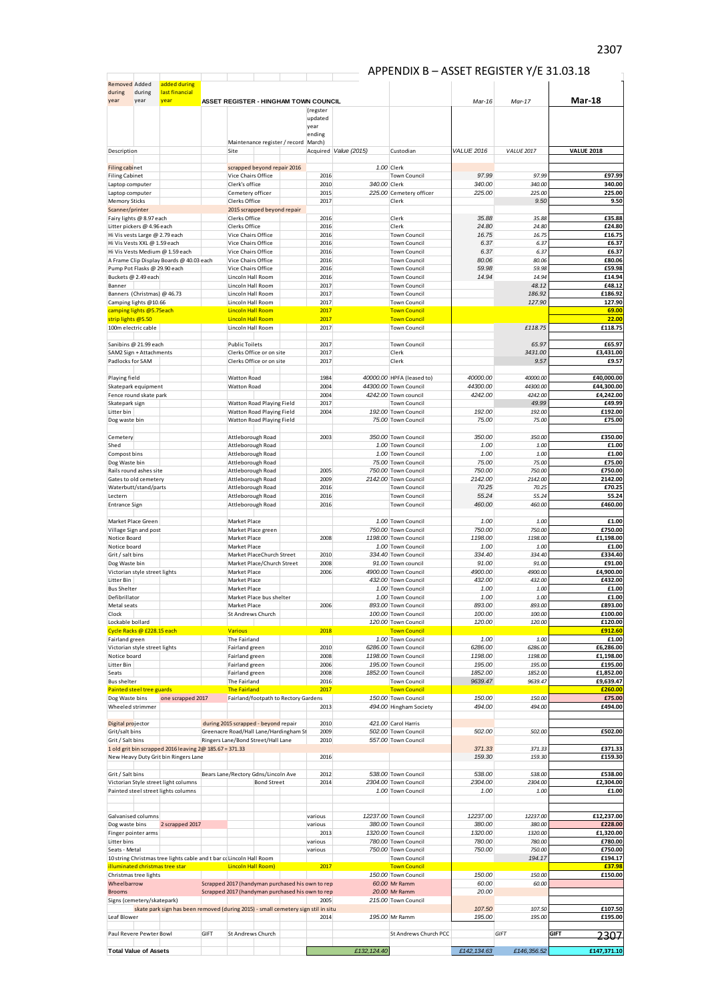# $\frac{1}{2}$  APPENDIX B – ASSET REGISTER Y/E 31.03.18

| <b>Removed Added</b>                     |                                                                | added during                                                                                            |      |                                  |                                                                                                      |                 |                       |                                             |                   |                   |                      |
|------------------------------------------|----------------------------------------------------------------|---------------------------------------------------------------------------------------------------------|------|----------------------------------|------------------------------------------------------------------------------------------------------|-----------------|-----------------------|---------------------------------------------|-------------------|-------------------|----------------------|
| during                                   | during                                                         | last financial                                                                                          |      |                                  |                                                                                                      |                 |                       |                                             |                   |                   | Mar 18               |
| year                                     | year                                                           | year                                                                                                    |      |                                  | ASSET REGISTER - HINGHAM TOWN COUNCIL                                                                | (regster        |                       |                                             | Mar-16            | Mar-17            |                      |
|                                          |                                                                |                                                                                                         |      |                                  |                                                                                                      | updated         |                       |                                             |                   |                   |                      |
|                                          |                                                                |                                                                                                         |      |                                  |                                                                                                      | year<br>ending  |                       |                                             |                   |                   |                      |
|                                          |                                                                |                                                                                                         |      |                                  | Maintenance register / record   March)                                                               |                 |                       |                                             |                   |                   |                      |
| Description                              |                                                                |                                                                                                         |      | Site                             |                                                                                                      |                 | Acquired Value (2015) | Custodian                                   | <b>VALUE 2016</b> | <b>VALUE 2017</b> | <b>VALUE 2018</b>    |
| <b>Filing cabinet</b>                    |                                                                |                                                                                                         |      |                                  | scrapped beyond repair 2016                                                                          |                 |                       | 1.00 Clerk                                  |                   |                   |                      |
| <b>Filing Cabinet</b><br>Laptop computer |                                                                |                                                                                                         |      | Clerk's office                   | Vice Chairs Office                                                                                   | 2016<br>2010    | 340.00 Clerk          | <b>Town Council</b>                         | 97.99<br>340.00   | 97.99<br>340.00   | £97.99<br>340.00     |
| Laptop computer                          |                                                                |                                                                                                         |      |                                  | Cemetery officer                                                                                     | 2015            |                       | 225.00 Cemetery officer                     | 225.00            | 225.00            | 225.00               |
| <b>Memory Sticks</b><br>Scanner/printer  |                                                                |                                                                                                         |      | Clerks Office                    | 2015 scrapped beyond repair                                                                          | 2017            |                       | Clerk                                       |                   | 9.50              | 9.50                 |
|                                          | Fairy lights @ 8.97 each                                       |                                                                                                         |      | Clerks Office                    |                                                                                                      | 2016            |                       | Clerk                                       | 35.88             | 35.88             | £35.88               |
|                                          | Litter pickers @ 4.96 each                                     |                                                                                                         |      | Clerks Office                    | Vice Chairs Office                                                                                   | 2016<br>2016    |                       | Clerk<br><b>Town Council</b>                | 24.80<br>16.75    | 24.80<br>16.75    | £24.80<br>£16.75     |
|                                          | Hi Vis vests Large @ 2.79 each<br>Hi Vis Vests XXL @ 1.59 each |                                                                                                         |      |                                  | Vice Chairs Office                                                                                   | 2016            |                       | <b>Town Council</b>                         | 6.37              | 6.37              | £6.37                |
|                                          |                                                                | Hi Vis Vests Medium @ 1.59 each                                                                         |      |                                  | Vice Chairs Office                                                                                   | 2016            |                       | <b>Town Council</b>                         | 6.37              | 6.37              | £6.37                |
|                                          | Pump Pot Flasks @ 29.90 each                                   | A Frame Clip Display Boards @ 40.03 each                                                                |      |                                  | Vice Chairs Office<br>Vice Chairs Office                                                             | 2016<br>2016    |                       | <b>Town Council</b><br><b>Town Council</b>  | 80.06<br>59.98    | 80.06<br>59.98    | £80.06<br>£59.98     |
|                                          | Buckets @ 2.49 each                                            |                                                                                                         |      |                                  | Lincoln Hall Room                                                                                    | 2016            |                       | <b>Town Council</b>                         | 14.94             | 14.94             | £14.94               |
| Banner                                   | Banners (Christmas) @ 46.73                                    |                                                                                                         |      |                                  | Lincoln Hall Room<br>Lincoln Hall Room                                                               | 2017<br>2017    |                       | <b>Town Council</b><br><b>Town Council</b>  |                   | 48.12<br>186.92   | £48.12<br>£186.92    |
|                                          | Camping lights @10.66                                          |                                                                                                         |      |                                  | Lincoln Hall Room                                                                                    | 2017            |                       | <b>Town Council</b>                         |                   | 127.90            | 127.90               |
| strip lights @5.50                       | camping lights @5.75each                                       |                                                                                                         |      |                                  | <b>Lincoln Hall Room</b><br><b>Lincoln Hall Room</b>                                                 | 2017<br>2017    |                       | <b>Town Council</b><br><b>Town Council</b>  |                   |                   | 69.00<br>22.00       |
| 100m electric cable                      |                                                                |                                                                                                         |      |                                  | Lincoln Hall Room                                                                                    | 2017            |                       | <b>Town Council</b>                         |                   | £118.75           | £118.75              |
|                                          |                                                                |                                                                                                         |      |                                  |                                                                                                      |                 |                       |                                             |                   |                   |                      |
|                                          | Sanibins @ 21.99 each<br>SAM2 Sign + Attachments               |                                                                                                         |      | <b>Public Toilets</b>            | Clerks Office or on site                                                                             | 2017<br>2017    |                       | <b>Town Council</b><br>Clerk                |                   | 65.97<br>3431.00  | £65.97<br>£3,431.00  |
| Padlocks for SAM                         |                                                                |                                                                                                         |      |                                  | Clerks Office or on site                                                                             | 2017            |                       | Clerk                                       |                   | 9.57              | £9.57                |
| Playing field                            |                                                                |                                                                                                         |      | <b>Watton Road</b>               |                                                                                                      | 1984            |                       | 40000.00 HPFA (leased to)                   | 40000.00          | 40000.00          | £40,000.00           |
|                                          | Skatepark equipment                                            |                                                                                                         |      | Watton Road                      |                                                                                                      | 2004            |                       | 44300.00 Town Council                       | 44300.00          | 44300.00          | £44,300.00           |
|                                          | Fence round skate park                                         |                                                                                                         |      |                                  |                                                                                                      | 2004            |                       | 4242.00 Town council                        | 4242.00           | 4242.00           | £4,242.00            |
| Skatepark sign<br>Litter bin             |                                                                |                                                                                                         |      |                                  | Watton Road Playing Field<br>Watton Road Playing Field                                               | 2017<br>2004    |                       | <b>Town Council</b><br>192.00 Town Council  | 192.00            | 49.99<br>192.00   | £49.99<br>£192.00    |
| Dog waste bin                            |                                                                |                                                                                                         |      |                                  | Watton Road Playing Field                                                                            |                 |                       | 75.00 Town Council                          | 75.00             | 75.00             | £75.00               |
| Cemetery                                 |                                                                |                                                                                                         |      |                                  | Attleborough Road                                                                                    | 2003            |                       | 350.00 Town Council                         | 350.00            | 350.00            | £350.00              |
| Shed                                     |                                                                |                                                                                                         |      |                                  | Attleborough Road                                                                                    |                 |                       | 1.00 Town Council                           | 1.00              | 1.00              | £1.00                |
| Compost bins                             |                                                                |                                                                                                         |      |                                  | Attleborough Road<br>Attleborough Road                                                               |                 |                       | 1.00 Town Council<br>75.00 Town Council     | 1.00<br>75.00     | 1.00<br>75.00     | £1.00<br>£75.00      |
| Dog Waste bin                            | Rails round ashes site                                         |                                                                                                         |      |                                  | Attleborough Road                                                                                    | 2005            |                       | 750.00 Town Council                         | 750.00            | 750.00            | £750.00              |
|                                          | Gates to old cemetery                                          |                                                                                                         |      |                                  | Attleborough Road                                                                                    | 2009            |                       | 2142.00 Town Council                        | 2142.00           | 2142.00           | 2142.00              |
| Lectern                                  | Waterbutt/stand/parts                                          |                                                                                                         |      |                                  | Attleborough Road<br>Attleborough Road                                                               | 2016<br>2016    |                       | <b>Town Council</b><br><b>Town Council</b>  | 70.25<br>55.24    | 70.25<br>55.24    | £70.25<br>55.24      |
| <b>Entrance Sign</b>                     |                                                                |                                                                                                         |      |                                  | Attleborough Road                                                                                    | 2016            |                       | <b>Town Council</b>                         | 460.00            | 460.00            | £460.00              |
|                                          | Market Place Green                                             |                                                                                                         |      | Market Place                     |                                                                                                      |                 |                       | 1.00 Town Council                           | 1.00              | 1.00              | £1.00                |
|                                          | Village Sign and post                                          |                                                                                                         |      |                                  | Market Place green                                                                                   |                 |                       | 750.00 Town Council                         | 750.00            | 750.00            | £750.00              |
| Notice Board                             |                                                                |                                                                                                         |      | Market Place                     |                                                                                                      | 2008            |                       | 1198.00 Town Council                        | 1198.00           | 1198.00           | £1,198.00            |
| Notice board<br>Grit / salt bins         |                                                                |                                                                                                         |      | Market Place                     | Market PlaceChurch Street                                                                            | 2010            |                       | 1.00 Town Council<br>334.40 Town Council    | 1.00<br>334.40    | 1.00<br>334.40    | £1.00<br>£334.40     |
| Dog Waste bin                            |                                                                |                                                                                                         |      |                                  | Market Place/Church Street                                                                           | 2008            |                       | 91.00 Town council                          | 91.00             | 91.00             | £91.00               |
| Litter Bin                               | Victorian style street lights                                  |                                                                                                         |      | Market Place<br>Market Place     |                                                                                                      | 2006            |                       | 4900.00 Town Council<br>432.00 Town Council | 4900.00<br>432.00 | 4900.00<br>432.00 | £4,900.00<br>£432.00 |
| <b>Bus Shelter</b>                       |                                                                |                                                                                                         |      | Market Place                     |                                                                                                      |                 |                       | 1.00 Town Council                           | 1.00              | 1.00              | £1.00                |
| Defibrillator                            |                                                                |                                                                                                         |      |                                  | Market Place bus shelter                                                                             |                 |                       | 1.00 Town Council                           | 1.00<br>893.00    | 1.00<br>893.00    | £1.00<br>£893.00     |
| Metal seats<br>Clock                     |                                                                |                                                                                                         |      | Market Place                     | <b>St Andrews Church</b>                                                                             | 2006            |                       | 893.00 Town Council<br>100.00 Town Council  | 100.00            | 100.00            | £100.00              |
| Lockable bollard                         |                                                                |                                                                                                         |      |                                  |                                                                                                      |                 |                       | 120.00 Town Council                         | 120.00            | 120.00            | £120.00              |
| Fairland green                           | Cycle Racks @ £228.15 each                                     |                                                                                                         |      | <b>Various</b><br>The Fairland   |                                                                                                      | 2018            |                       | <b>Town Council</b><br>1.00 Town Council    | 1.00              | 1.00              | £912.60<br>£1.00     |
|                                          | Victorian style street lights                                  |                                                                                                         |      | Fairland green                   |                                                                                                      | 2010            |                       | 6286.00 Town Council                        | 6286.00           | 6286.00           | £6,286.00            |
| Notice board<br>Litter Bin               |                                                                |                                                                                                         |      | Fairland green<br>Fairland green |                                                                                                      | 2008<br>2006    |                       | 1198.00 Town Council<br>195.00 Town Council | 1198.00<br>195.00 | 1198.00<br>195.00 | £1,198.00<br>£195.00 |
| Seats                                    |                                                                |                                                                                                         |      | Fairland green                   |                                                                                                      | 2008            |                       | 1852.00 Town Council                        | 1852.00           | 1852.00           | £1,852.00            |
| <b>Bus shelter</b>                       |                                                                |                                                                                                         |      | The Fairland                     |                                                                                                      | 2016            |                       | <b>Town Council</b>                         | 9639.47           | 9639.47           | £9,639.47            |
| Dog Waste bins                           | Painted steel tree guards                                      | one scrapped 2017                                                                                       |      | <b>The Fairland</b>              | Fairland/footpath to Rectory Gardens                                                                 | 2017            |                       | <b>Town Council</b><br>150.00 Town Council  | 150.00            | 150.00            | £260.00<br>£75.00    |
| Wheeled strimmer                         |                                                                |                                                                                                         |      |                                  |                                                                                                      | 2013            |                       | 494.00 Hingham Society                      | 494.00            | 494.00            | £494.00              |
| Digital projector                        |                                                                |                                                                                                         |      |                                  | during 2015 scrapped - beyond repair                                                                 | 2010            |                       | 421.00 Carol Harris                         |                   |                   |                      |
| Grit/salt bins                           |                                                                |                                                                                                         |      |                                  | Greenacre Road/Hall Lane/Hardingham St                                                               | 2009            |                       | 502.00 Town Council                         | 502.00            | 502.00            | £502.00              |
| Grit / Salt bins                         |                                                                | 1 old grit bin scrapped 2016 leaving 2@ 185.67 = 371.33                                                 |      |                                  | Ringers Lane/Bond Street/Hall Lane                                                                   | 2010            |                       | 557.00 Town Council                         | 371.33            | 371.33            | £371.33              |
|                                          |                                                                | New Heavy Duty Grit bin Ringers Lane                                                                    |      |                                  |                                                                                                      | 2016            |                       |                                             | 159.30            | 159.30            | £159.30              |
|                                          |                                                                |                                                                                                         |      |                                  |                                                                                                      | 2012            |                       | 538.00 Town Council                         | 538.00            | 538.00            |                      |
| Grit / Salt bins                         |                                                                | Victorian Style street light columns                                                                    |      |                                  | Bears Lane/Rectory Gdns/Lincoln Ave<br><b>Bond Street</b>                                            | 2014            |                       | 2304.00 Town Council                        | 2304.00           | 2304.00           | £538.00<br>£2,304.00 |
|                                          |                                                                | Painted steel street lights columns                                                                     |      |                                  |                                                                                                      |                 |                       | 1.00 Town Council                           | 1.00              | 1.00              | £1.00                |
|                                          |                                                                |                                                                                                         |      |                                  |                                                                                                      |                 |                       |                                             |                   |                   |                      |
|                                          | Galvanised columns                                             |                                                                                                         |      |                                  |                                                                                                      | various         |                       | 12237.00 Town Council                       | 12237.00          | 12237.00          | £12,237.00           |
| Dog waste bins                           |                                                                | 2 scrapped 2017                                                                                         |      |                                  |                                                                                                      | various<br>2013 |                       | 380.00 Town Council<br>1320.00 Town Council | 380.00<br>1320.00 | 380.00<br>1320.00 | £228.00<br>£1,320.00 |
| Litter bins                              | Finger pointer arms                                            |                                                                                                         |      |                                  |                                                                                                      | various         |                       | 780.00 Town Council                         | 780.00            | 780.00            | £780.00              |
| Seats - Metal                            |                                                                |                                                                                                         |      |                                  |                                                                                                      | various         |                       | 750.00 Town Council                         | 750.00            | 750.00            | £750.00              |
|                                          |                                                                | 10 string Christmas tree lights cable and t bar cc Lincoln Hall Room<br>illuminated christmas tree star |      |                                  | Lincoln Hall Room)                                                                                   | 2017            |                       | <b>Town Council</b><br><b>Town Council</b>  |                   | 194.17            | £194.17<br>£37.98    |
|                                          | Christmas tree lights                                          |                                                                                                         |      |                                  |                                                                                                      |                 |                       | 150.00 Town Council                         | 150.00            | 150.00            | £150.00              |
| Wheelbarrow<br><b>Brooms</b>             |                                                                |                                                                                                         |      |                                  | Scrapped 2017 (handyman purchased his own to rep<br>Scrapped 2017 (handyman purchased his own to rep |                 |                       | 60.00 Mr Ramm<br>20.00 Mr Ramm              | 60.00<br>20.00    | 60.00             |                      |
|                                          | Signs (cemetery/skatepark)                                     |                                                                                                         |      |                                  |                                                                                                      | 2005            |                       | 215.00 Town Council                         |                   |                   |                      |
|                                          |                                                                | skate park sign has been removed (during 2015) - small cemetery sign stil in situ                       |      |                                  |                                                                                                      |                 |                       |                                             | 107.50            | 107.50            | £107.50              |
| Leaf Blower                              |                                                                |                                                                                                         |      |                                  |                                                                                                      | 2014            |                       | 195.00 Mr Ramm                              | 195.00            | 195.00            | £195.00              |
|                                          | Paul Revere Pewter Bowl                                        |                                                                                                         | GIFT |                                  | St Andrews Church                                                                                    |                 |                       | St Andrews Church PCC                       |                   | <b>GIFT</b>       | GIFT<br>2307         |
|                                          | <b>Total Value of Assets</b>                                   |                                                                                                         |      |                                  |                                                                                                      |                 | £132, 124.40          |                                             | £142,134.63       | £146,356.52       | £147,371.10          |
|                                          |                                                                |                                                                                                         |      |                                  |                                                                                                      |                 |                       |                                             |                   |                   |                      |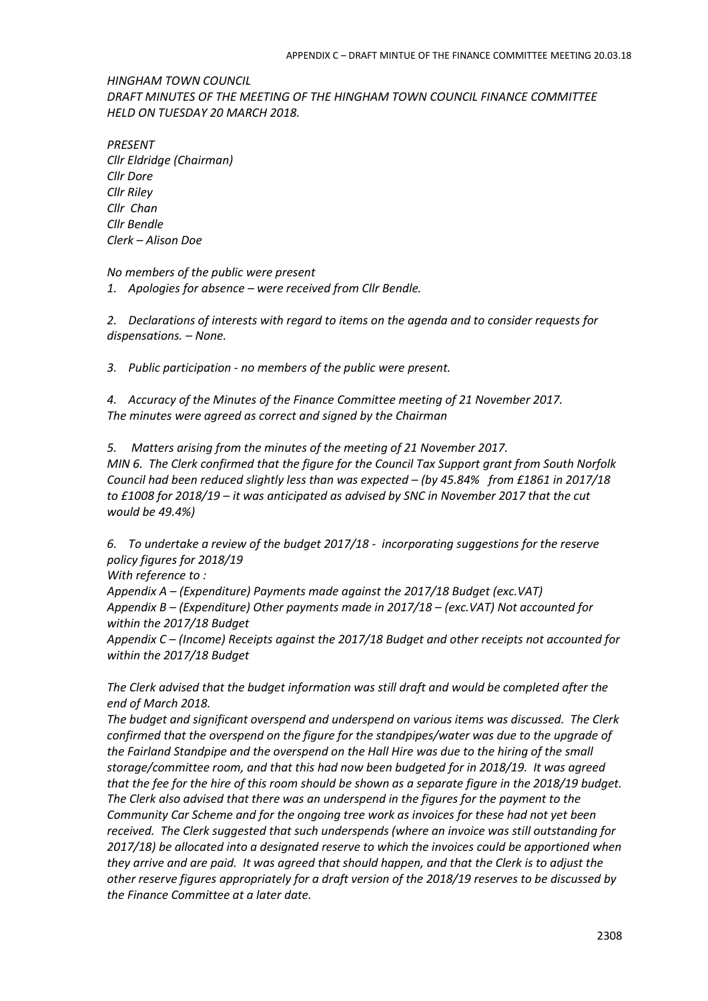*HINGHAM TOWN COUNCIL DRAFT MINUTES OF THE MEETING OF THE HINGHAM TOWN COUNCIL FINANCE COMMITTEE HELD ON TUESDAY 20 MARCH 2018.* 

*PRESENT Cllr Eldridge (Chairman) Cllr Dore Cllr Riley Cllr Chan Cllr Bendle Clerk – Alison Doe*

*No members of the public were present 1. Apologies for absence – were received from Cllr Bendle.*

*2. Declarations of interests with regard to items on the agenda and to consider requests for dispensations. – None.*

*3. Public participation - no members of the public were present.*

*4. Accuracy of the Minutes of the Finance Committee meeting of 21 November 2017. The minutes were agreed as correct and signed by the Chairman*

*5. Matters arising from the minutes of the meeting of 21 November 2017. MIN 6. The Clerk confirmed that the figure for the Council Tax Support grant from South Norfolk Council had been reduced slightly less than was expected – (by 45.84% from £1861 in 2017/18 to £1008 for 2018/19 – it was anticipated as advised by SNC in November 2017 that the cut would be 49.4%)*

*6. To undertake a review of the budget 2017/18 - incorporating suggestions for the reserve policy figures for 2018/19* 

*With reference to :*

*Appendix A – (Expenditure) Payments made against the 2017/18 Budget (exc.VAT) Appendix B – (Expenditure) Other payments made in 2017/18 – (exc.VAT) Not accounted for within the 2017/18 Budget*

*Appendix C – (Income) Receipts against the 2017/18 Budget and other receipts not accounted for within the 2017/18 Budget*

*The Clerk advised that the budget information was still draft and would be completed after the end of March 2018.* 

*The budget and significant overspend and underspend on various items was discussed. The Clerk confirmed that the overspend on the figure for the standpipes/water was due to the upgrade of the Fairland Standpipe and the overspend on the Hall Hire was due to the hiring of the small storage/committee room, and that this had now been budgeted for in 2018/19. It was agreed that the fee for the hire of this room should be shown as a separate figure in the 2018/19 budget. The Clerk also advised that there was an underspend in the figures for the payment to the Community Car Scheme and for the ongoing tree work as invoices for these had not yet been received. The Clerk suggested that such underspends (where an invoice was still outstanding for 2017/18) be allocated into a designated reserve to which the invoices could be apportioned when they arrive and are paid. It was agreed that should happen, and that the Clerk is to adjust the other reserve figures appropriately for a draft version of the 2018/19 reserves to be discussed by the Finance Committee at a later date.*